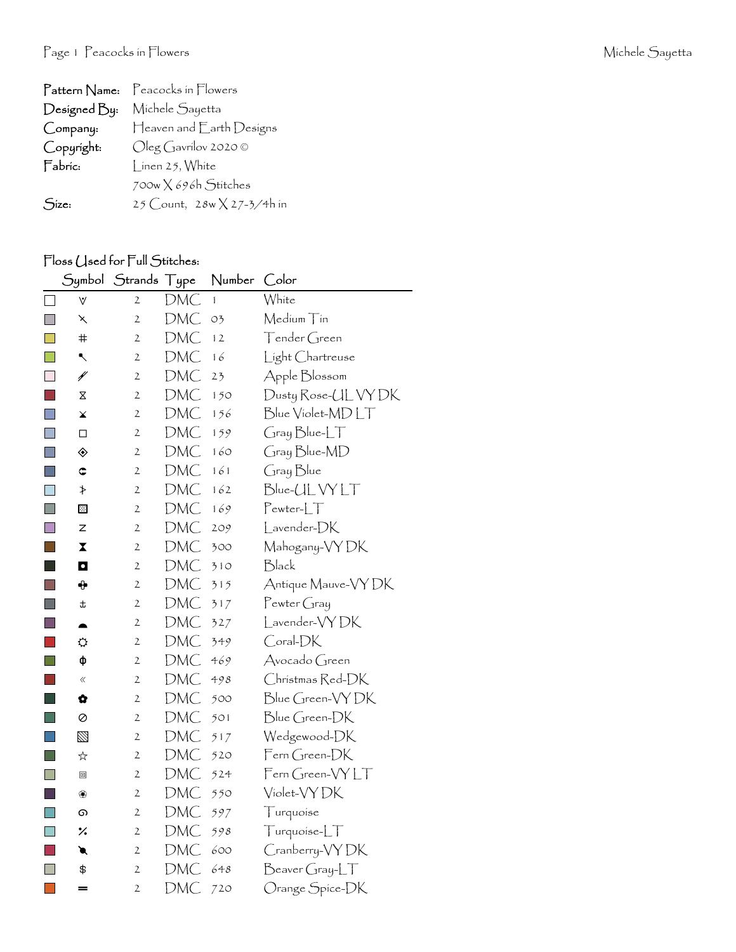| Pattern Name: | Peacocks in Flowers         |
|---------------|-----------------------------|
| Designed By:  | Michele Sayetta             |
| Company:      | Heaven and Earth Designs    |
| Copyright:    | $Oleg$ Gavrilov 2020 ©      |
| Fabric:       | [ inen 25, White            |
|               | $700w \times 696h$ Stitches |
| Size:         | 25 Count, 28w X 27-3/4h in  |

## Floss (Jsed for Full Stitches:

|      |                  | Symbol Strands Type |     | Number         | Color                 |
|------|------------------|---------------------|-----|----------------|-----------------------|
|      | $\forall$        | 2                   | DMC | $\mathbf{1}$   | White                 |
|      | ↖                | $\mathfrak{2}$      | DMC | O <sub>2</sub> | Medium Tin            |
|      | #                | $\mathfrak{2}$      | DMC | 12             | Tender Green          |
|      | ↖                | 2                   | DMC | 16             | Light Chartreuse      |
|      | ¥                | $\mathbf{2}$        | DMC | 23             | Apple Blossom         |
|      | Χ                | $\mathbf{2}$        | DMC | 150            | Dusty Rose-UL VY DK   |
|      | x                | $\mathfrak{2}$      | DMC | 156            | Blue Violet-MDLT      |
|      | □                | 2                   | DMC | 159            | Gray Blue-LT          |
|      | ◈                | $\mathbf{2}$        | DMC | 160            | Gray Blue-MD          |
|      | ¢                | $\mathfrak{2}$      | DMC | 161            | Gray Blue             |
|      | ≯                | $\mathbf{2}$        | DMC | 162            | Blue-ULVYLT           |
|      | ⊠                | 2                   | DMC | 169            | $Pewter-LT$           |
|      | z                | $\mathbf{2}$        | DMC | 209            | Lavender-DK           |
|      | X                | 2                   | DMC | 300            | Mahogany-VY DK        |
|      | $\mathbf \Omega$ | $\mathfrak{2}$      | DMC | 310            | Black                 |
|      | ⊕                | $\mathbf{2}$        | DMC | 315            | Antique Mauve-VY DK   |
|      | ま                | $\mathbf{2}$        | DMC | 317            | $P$ ewter Gray        |
| in 1 |                  | $\mathbf{2}$        | DMC | 327            | Lavender-VYDK         |
|      | ⇔                | 2                   | DMC | 349            | Coral-DK              |
|      | ф                | $\mathbf{2}$        | DMC | 469            | Avocado Green         |
|      | $\ll$            | 2                   | DMC | 498            | Christmas Red-DK      |
|      | Q                | $\mathfrak{2}$      | DMC | 500            | Blue Green-VY DK      |
|      | Ø                | $\mathfrak{2}$      | DMC | 501            | Blue Green-DK         |
|      | ⊠                | $\mathbf{2}$        | DMC | 517            | Wedgewood-DK          |
|      | ☆                | 2                   | DMC | 520            | Fern Green-DK         |
|      | ▣                | $\mathfrak{2}$      | DMC | 524            | Fern Green-VYLT       |
|      | ❀                | $\mathfrak{2}$      | DMC | 550            | Violet-VYDK           |
|      | ை                | $\mathfrak{2}$      | DMC | 597            | Turquoise             |
|      | ٪                | 2                   | DMC | 598            | Turquoise-LT          |
|      | ◥                | $\mathfrak{2}$      | DMC | 600            | Cranberry-VYDK        |
|      | \$               | $\mathbf{2}$        | DMC | 648            | $\beta$ eaver Gray-LT |
|      |                  | $\mathbf{2}$        | DMC | 720            | Orange Spice-DK       |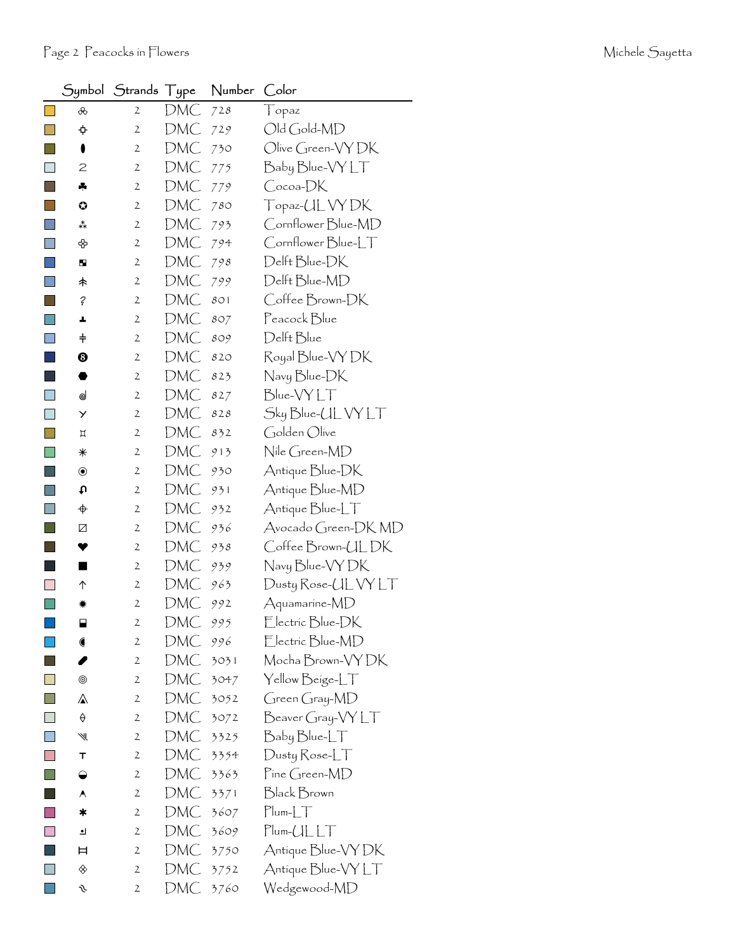|                        |                             | Symbol Strands Type |     | Number | Color                     |
|------------------------|-----------------------------|---------------------|-----|--------|---------------------------|
|                        | ൿ                           | $\mathbf{2}$        | DMC | 728    | $\int$ opaz               |
|                        | ↔                           | $\mathbf{2}$        | DMC | 729    | Old Gold-MD               |
| <b>Service Service</b> | 0                           | $\mathfrak{2}$      | DMC | 730    | Olive Green-VY DK         |
|                        | 2                           | 2                   | DMC | 775    | Baby Blue-VY LT           |
|                        | ÷                           | $\mathbf{2}$        | DMC | 779    | Cocoa-DK                  |
|                        | $\bullet$                   | 2                   | DMC | 780    | Topaz-UL VY DK            |
|                        | ∗*                          | $\mathbf{2}$        | DMC | 793    | Cornflower Blue-MD        |
| $\Box$                 | ♧                           | $\mathbf{2}$        | DMC | 794    | Cornflower Blue-LT        |
|                        | ш                           | 2                   | DMC | 798    | Delft Blue-DK             |
| ×                      | 未                           | $\mathbf{2}$        | DMC | 799    | Delft Blue-MD             |
| a l                    | ?                           | $\mathbf{2}$        | DMC | 801    | Coffee Brown-DK           |
|                        | ┻                           | 2                   | DMC | 807    | Peacock Blue              |
|                        | $\ddagger$                  | $\mathbf{2}$        | DMC | 809    | Delft Blue                |
|                        | ❸                           | 2                   | DMC | 820    | Royal Blue-VY DK          |
|                        |                             | $\mathbf{2}$        | DMC | 823    | Navy Blue-DK              |
| $\Box$                 | ⊚                           | 2                   | DMC | 827    | Blue-VYLT                 |
| ×                      | У                           | $\mathbf{2}$        | DMC | 828    | Sky Blue-ULVY LT          |
| h.                     | Д                           | 2                   | DMC | 832    | Golden Olive              |
| ×                      | ⋇                           | 2                   | DMC | 913    | Nile Green-MD             |
|                        | $\bf{O}$                    | $\mathfrak{2}$      | DMC | 930    | Antique Blue-DK           |
| т.                     | t                           | 2                   | DMC | 931    | Antique Blue-MD           |
| $\Box$                 | $\color{red} \blacklozenge$ | 2                   | DMC | 932    | Antique Blue-LT           |
|                        | Z                           | 2                   | DMC | 936    | Avocado Green-DK MD       |
|                        | ▼                           | $\mathbf{2}$        | DMC | 938    | Coffee Brown-ULDK         |
|                        | ٠                           | 2                   | DMC | 939    | Navy Blue-VY DK           |
|                        | ↑                           | $\mathbf{2}$        | DMC | 963    | Dusty Rose-UL VY LT       |
|                        |                             | $\mathfrak{2}$      | DMC | 992    | Aquamarine-MD             |
|                        | ⊟                           | $\overline{c}$      | DMC | 995    | Electric Blue-DK          |
|                        | €                           | 2                   | DMC | 996    | Electric Blue-MD          |
|                        |                             | $\mathfrak{2}$      | DMC | 3031   | Mocha Brown-VY DK         |
|                        | ◉                           | $\mathfrak{2}$      | DMC | 3047   | Yellow Beige-LT           |
|                        | ⚠                           | $\mathbf{2}$        | DMC | 3052   | Green Gray-MD             |
|                        | ♦                           | $\mathfrak{2}$      | DMC | 3072   | Beaver Gray-VY LT         |
|                        | ₩                           | 2                   | DMC | 3325   | Baby Blue-LT              |
|                        | т                           | $\mathbf{2}$        | DMC | 3354   | Dusty Rose-LT             |
|                        |                             | 2                   | DMC | 3363   | $\mathsf{P}$ íne Green-MD |
|                        | A                           | 2                   | DMC | 3371   | <b>Black Brown</b>        |
| <b>College</b>         | ∗                           | $\mathbf{2}$        | DMC | 3607   | $Plum-LT$                 |
| $\Box$                 | ┛                           | 2                   | DMC | 3609   | $Plum-CLLT$               |
|                        | Ħ                           | 2                   | DMC | 3750   | Antique Blue-VY DK        |
| T                      | ◈                           | 2                   | DMC | 3752   | Antique Blue-VY LT        |
|                        | ŷ                           | 2                   | DMC | 3760   | Wedgewood-MD              |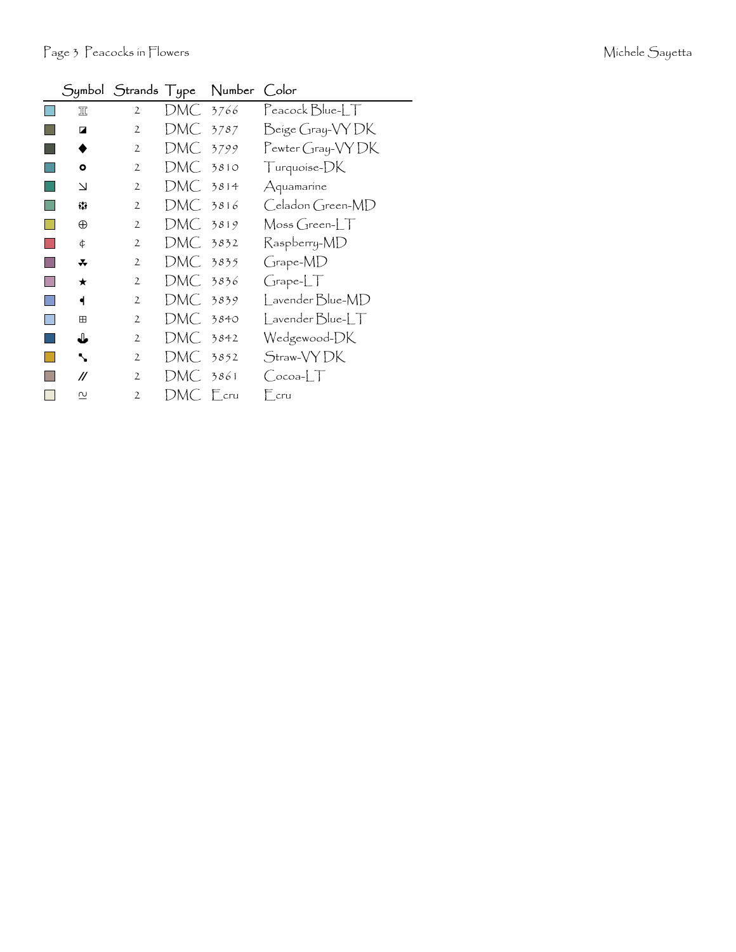| Michele Sayetta |  |
|-----------------|--|
|-----------------|--|

|                         |                |            | Symbol Strands Type Number Color |                     |
|-------------------------|----------------|------------|----------------------------------|---------------------|
| 皿                       | $\overline{2}$ | DMC .      | 3766                             | Peacock Blue-LT     |
| ◪                       | $\overline{2}$ | DMC 3787   |                                  | Beige Gray-VYDK     |
|                         | 2              | DMC.       | 3799                             | Pewter Gray-VYDK    |
| $\bullet$               | $\mathbf{2}$   | $DMC$ 3810 |                                  | Turquoise-DK        |
| $\Delta$                | $\mathbf{2}$   | DMC 3814   |                                  | Aquamarine          |
| 83                      | $\mathbf{2}$   | DMC 3816   |                                  | Celadon Green-MD    |
| $\oplus$                | $\overline{2}$ | $DMC$ 3819 |                                  | $M$ oss Green- $LT$ |
| ¢                       | $\overline{2}$ | DMC 3832   |                                  | Raspberry-MD        |
| *                       | $\overline{2}$ | DMC 3835   |                                  | Grape-MD            |
| ★                       | $\overline{2}$ | DMC 3836   |                                  | GrapherLT           |
| ◀                       | $\overline{2}$ | DMC 3839   |                                  | Lavender Blue-MD    |
| 田                       | $\overline{2}$ | DMC 3840   |                                  | Lavender Blue-LT    |
| ♦                       | 2              | DMC-       | 3842                             | Wedgewood-DK        |
| ↖                       | $\mathbf{2}$   | DMC -      | 3852                             | Straw-VYDK          |
| //                      | $\overline{2}$ | DMC 3861   |                                  | $Cocoa-LT$          |
| $\overline{\mathsf{C}}$ | $\overline{2}$ | DMC Ecru   |                                  | $E_{\rm cru}$       |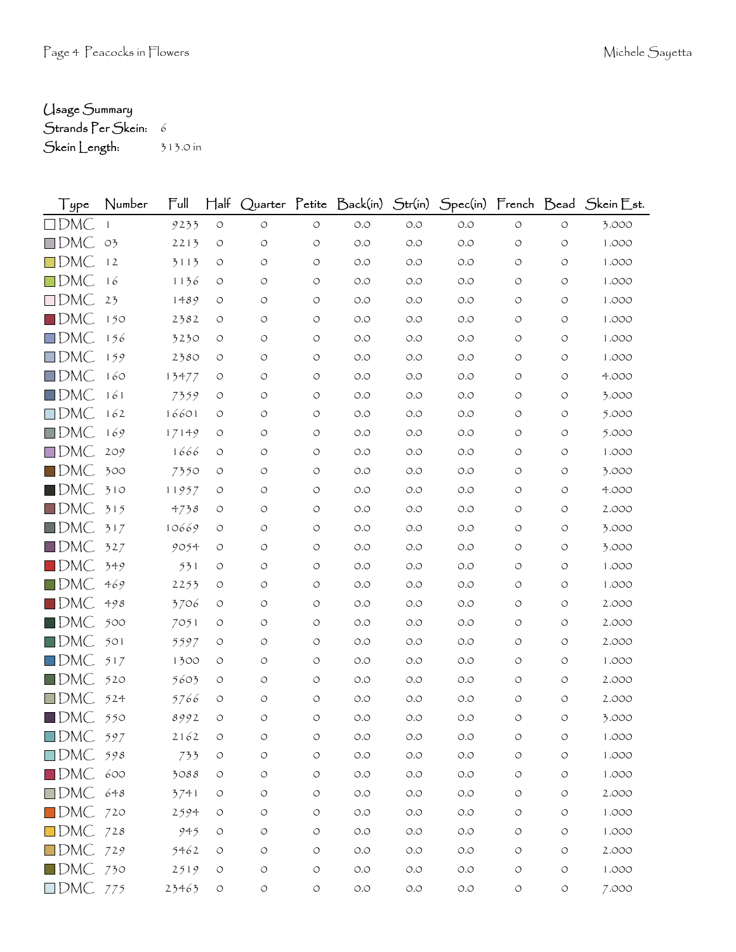## Usage Summary

```
Strands Per Skein: 6
```
Skein Length: 313.0 in

| Type                   | Number         | Full  | $H$ alf            |                    |            | Quarter Petite Back(in) Str(in) |       |       |                    |            | Spec(in) French Bead Skein Est. |
|------------------------|----------------|-------|--------------------|--------------------|------------|---------------------------------|-------|-------|--------------------|------------|---------------------------------|
| $\square$ DMC          |                | 9233  | $\bigcirc$         | $\circlearrowleft$ | $\circ$    | $O.O$                           | $O.O$ | $O.O$ | $\circ$            | $\circ$    | 3.000                           |
| $\square$ DMC          | O <sub>2</sub> | 2213  | $\circ$            | O                  | $\circ$    | O.O                             | O.O   | O.O   | $\circ$            | $\circ$    | 1.000                           |
| $\square$ DMC          | 12             | 3113  | O                  | O                  | $\circ$    | O.O                             | O.O   | O.O   | O                  | O          | 1.000                           |
| $\square$ DMC          | 16             | 1136  | O                  | O                  | $\circ$    | O.O                             | O.O   | O.O   | $\circ$            | $\circ$    | 1.000                           |
| $\square$ DMC          | 23             | 1489  | $\circ$            | O                  | $\circ$    | O.O                             | O.O   | O.O   | O                  | $\circ$    | 1.000                           |
| $\square$ DMC          | 150            | 2382  | O                  | O                  | $\circ$    | O.O                             | O.O   | O.O   | O                  | O          | 1.000                           |
| $\square$ DMC          | 156            | 3230  | O                  | O                  | $\circ$    | O.O                             | O.O   | O.O   | $\circ$            | $\circ$    | 1.000                           |
| $\square$ DMC          | 159            | 2380  | O                  | O                  | $\circ$    | O.O                             | O.O   | O.O   | $\circ$            | O          | 1.000                           |
| $\square$ DMC          | 160            | 13477 | O                  | O                  | $\circ$    | O.O                             | O.O   | O.O   | $\circ$            | $\circ$    | 4.000                           |
| $\square$ DMC          | 161            | 7359  | O                  | O                  | $\circ$    | O.O                             | O.O   | O.O   | O                  | $\circ$    | 3.000                           |
| $\square$ DMC          | 162            | 16601 | $\circ$            | O                  | $\circ$    | O.O                             | O.O   | O.O   | $\circ$            | O          | 5.000                           |
| $\square$ DMC          | 169            | 17149 | O                  | $\circ$            | $\circ$    | O.O                             | O.O   | O.O   | $\circ$            | $\circ$    | 5.000                           |
| $\square$ DMC          | 209            | 1666  | O                  | O                  | $\circ$    | O.O                             | O.O   | O.O   | $\circ$            | $\circ$    | 1.000                           |
| $\blacksquare$ DMC     | 300            | 7350  | $\circ$            | O                  | $\circ$    | O.O                             | O.O   | O.O   | $\circ$            | O          | 3.000                           |
| $\blacksquare$ DMC     | 310            | 11957 | O                  | O                  | $\circ$    | O.O                             | O.O   | O.O   | $\circ$            | $\circ$    | 4.000                           |
| $\square$ DMC          | 315            | 4738  | O                  | O                  | $\circ$    | O.O                             | O.O   | O.O   | $\circ$            | O          | 2.000                           |
| $\square$ DMC          | 317            | 10669 | O                  | O                  | $\circ$    | O.O                             | O.O   | O.O   | O                  | O          | 3.000                           |
| $\square$ DMC          | 327            | 9054  | O                  | O                  | $\circ$    | O.O                             | O.O   | O.O   | $\circ$            | $\circ$    | 3.000                           |
| $\square$ DMC          | 349            | 531   | O                  | O                  | O          | O.O                             | O.O   | O.O   | $\circ$            | O          | 1.000                           |
| $\square$ DMC          | 469            | 2253  | O                  | O                  | $\circ$    | O.O                             | O.O   | O.O   | $\circ$            | $\circ$    | 1.000                           |
| $\blacksquare$ DMC     | 498            | 3706  | O                  | O                  | $\circ$    | O.O                             | O.O   | O.O   | $\circ$            | $\circ$    | 2.000                           |
| $\square$ DMC          | 500            | 7051  | O                  | O                  | $\circ$    | O.O                             | O.O   | O.O   | $\circ$            | O          | 2.000                           |
| $\square$ DMC          | 501            | 5597  | O                  | O                  | $\circ$    | O.O                             | O.O   | O.O   | $\circ$            | $\circ$    | 2.000                           |
| $\square$ DMC          | 517            | 1300  | O                  | O                  | $\circ$    | O.O                             | O.O   | O.O   | $\circ$            | O          | 1.000                           |
| $\blacksquare$ DMC     | 520            | 5603  | O                  | O                  | O          | O.O                             | O.O   | O.O   | O                  | O          | 2.000                           |
| $\square$ DMC          | 524            | 5766  | O                  | O                  | $\circ$    | O.O                             | O.O   | O.O   | $\circ$            | $\circ$    | 2.000                           |
| $\blacksquare$ DMC     | 550            | 8992  | O                  | O                  | $\circ$    | O.O                             | O.O   | O.O   | $\bigcirc$         | O          | 3.000                           |
| $\Box$ DMC 597         |                | 2162  | $\bigcirc$         | O                  | $\circ$    | O.O                             | $O.O$ | $O.O$ | O                  | $\circ$    | 1.000                           |
| $\square$ DMC          | 598            | 733   | $\bigcirc$         | $\circlearrowleft$ | $\circ$    | $O.O$                           | $O.O$ | O.O   | $\circlearrowleft$ | $\circ$    | 1.000                           |
| $\blacksquare$ DMC 600 |                | 3088  | $\circlearrowleft$ | О                  | $\circ$    | $O.O$                           | $O.O$ | O.O   | $\circlearrowleft$ | $\circ$    | 1.000                           |
| $\Box$ DMC 648         |                | 3741  | $\circ$            | O                  | $\circ$    | $O.O$                           | $O.O$ | $O.O$ | $\circ$            | $\circ$    | 2.000                           |
| $\blacksquare$ DMC 720 |                | 2594  | $\circlearrowleft$ | O                  | $\circ$    | $O.O$                           | $O.O$ | O.O   | $\circ$            | $\circ$    | 1.000                           |
| $DMC$ 728              |                | 945   | O                  | O                  | $\circ$    | $O.O$                           | $O.O$ | $O.O$ | $\circ$            | $\circ$    | 1.000                           |
| $\Box$ DMC 729         |                | 5462  | $\circ$            | O                  | $\circ$    | $O.O$                           | $O.O$ | O.O   | $\circ$            | $\circ$    | 2.000                           |
| $\blacksquare$ DMC 730 |                | 2519  | O                  | O                  | $\circ$    | $O.O$                           | $O.O$ | $O.O$ | $\circ$            | $\bigcirc$ | 1.000                           |
| $\Box$ DMC 775         |                | 23463 | $\circlearrowleft$ | $\bigcirc$         | $\bigcirc$ | $O.O$                           | $O.O$ | $O.O$ | $\circ$            | $\bigcirc$ | 7.000                           |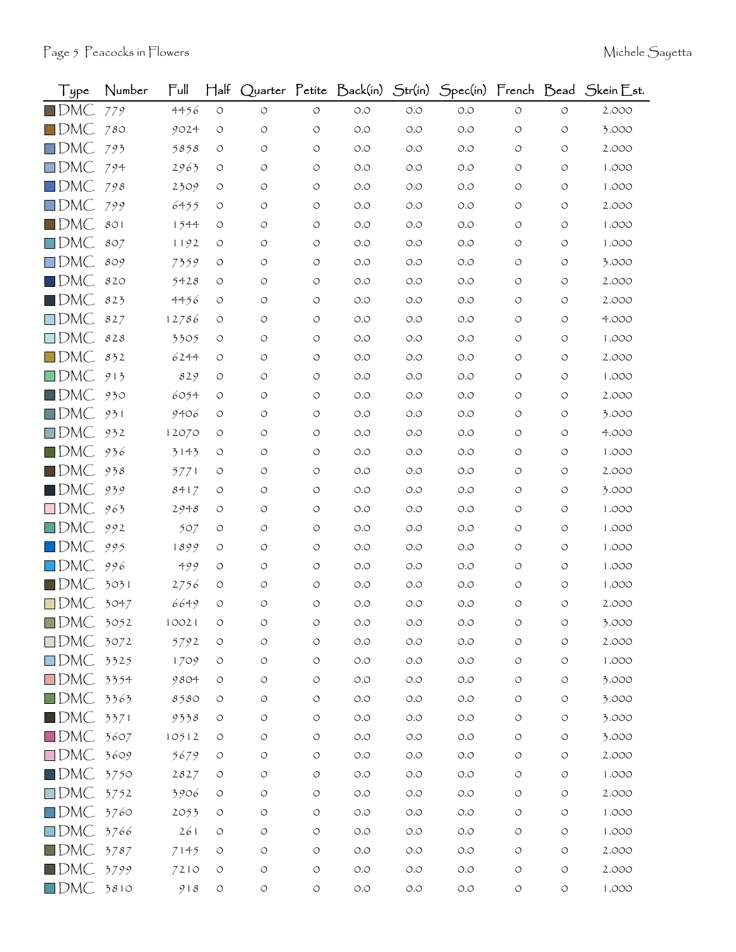| Type               | Number | Ful   | $\operatorname{\mathsf{H}}\nolimits$ alf |            |                    | Quarter Petite Back(in) | Str(in) |       |                    |                    | Spec(in) French Bead Skein Est. |
|--------------------|--------|-------|------------------------------------------|------------|--------------------|-------------------------|---------|-------|--------------------|--------------------|---------------------------------|
| $\blacksquare$ DMC | 779    | 4456  | $\circ$                                  | $\circ$    | $\circ$            | $O.O$                   | $O.O$   | O.O   | $\circlearrowleft$ | $\circlearrowleft$ | 2.000                           |
| $\square$ DMC      | 780    | 9024  | $\circ$                                  | O          | $\circ$            | O.O                     | O.O     | O.O   | O                  | O                  | 3.000                           |
| $\Box$ DMC         | 793    | 5858  | $\circ$                                  | O          | $\circ$            | O.O                     | O.O     | 0.0   | O                  | O                  | 2.000                           |
| $\square$ DMC      | 794    | 2963  | O                                        | O          | O                  | O.O                     | O.O     | O.O   | O                  | O                  | 1.000                           |
| $\square$ DMC      | 798    | 2309  | O                                        | O          | $\circ$            | O.O                     | O.O     | O.O   | O                  | O                  | 1.000                           |
| $\square$ DMC      | 799    | 6455  | O                                        | O          | $\circ$            | O.O                     | O.O     | 0.0   | O                  | O                  | 2.000                           |
| $\square$ DMC      | 801    | 1544  | O                                        | O          | $\circ$            | O.O                     | O.O     | 0.0   | O                  | O                  | 1.000                           |
| $\square$ DMC      | 807    | 1192  | O                                        | O          | O                  | $O.O$                   | O.O     | 0.0   | O                  | O                  | 1.000                           |
| $\square$ DMC      | 809    | 7359  | O                                        | O          | $\circ$            | O.O                     | O.O     | O.O   | O                  | O                  | 3.000                           |
| $\square$ DMC      | 820    | 5428  | O                                        | O          | $\circ$            | O.O                     | O.O     | 0.0   | O                  | O                  | 2.000                           |
| $\blacksquare$ DMC | 823    | 4456  | O                                        | O          | O                  | O.O                     | O.O     | 0.0   | O                  | O                  | 2.000                           |
| $\square$ DMC      | 827    | 12786 | O                                        | O          | O                  | O.O                     | O.O     | 0.0   | O                  | O                  | 4.000                           |
| $\square$ DMC      | 828    | 3305  | O                                        | O          | $\circ$            | O.O                     | O.O     | O.O   | O                  | O                  | 1.000                           |
| $\square$ DMC      | 832    | 6244  | O                                        | O          | O                  | O.O                     | O.O     | 0.0   | O                  | O                  | 2.000                           |
| $\square$ DMC      | 913    | 829   | $\circ$                                  | O          | $\circ$            | O.O                     | O.O     | O.O   | O                  | O                  | 1.000                           |
| $\blacksquare$ DMC | 930    | 6054  | O                                        | O          | O                  | O.O                     | O.O     | 0.0   | O                  | O                  | 2.000                           |
| $\square$ DMC      | 931    | 9406  | O                                        | O          | O                  | O.O                     | O.O     | 0.0   | O                  | O                  | 3.000                           |
| $\square$ DMC      | 932    | 12070 | O                                        | O          | $\circ$            | O.O                     | O.O     | O.O   | O                  | O                  | 4.000                           |
| $\blacksquare$ dmC | 936    | 3143  | O                                        | O          | O                  | O.O                     | O.O     | O.O   | O                  | O                  | 1.000                           |
| $\blacksquare$ DMC | 938    | 5771  | O                                        | O          | O                  | O.O                     | O.O     | 0.0   | O                  | O                  | 2.000                           |
| $\blacksquare$ DMC | 939    | 8417  | $\circ$                                  | O          | $\circ$            | O.O                     | O.O     | O.O   | O                  | O                  | 3.000                           |
| $\square$ DMC      | 963    | 2948  | O                                        | O          | $\circ$            | O.O                     | O.O     | 0.0   | O                  | $\circ$            | 1.000                           |
| $\square$ DMC      | 992    | 507   | O                                        | O          | O                  | O.O                     | O.O     | O.O   | O                  | $\circ$            | 1.000                           |
| $\square$ DMC      | 995    | 1899  | O                                        | O          | $\circ$            | O.O                     | O.O     | O.O   | O                  | O                  | 1.000                           |
| $\square$ DMC      | 996    | 499   | O                                        | O          | $\circ$            | O.O                     | O.O     | 0.0   | O                  | O                  | 1.000                           |
| $\blacksquare$ DMC | 3031   | 2756  | O                                        | O          | $\circ$            | O.O                     | O.O     | 0.0   | O                  | O                  | 1.000                           |
| $\square$ DMC      | 3047   | 6649  | $\circ$                                  | $\circ$    | O                  | O.O                     | O.O     | O.O   | O                  | O                  | 2.000                           |
| $\blacksquare$ DMC | 3052   | 10021 | $\circ$                                  | O          | O                  | O.O                     | O.O     | O.O   | O                  | $\circ$            | 3.000                           |
| $\square$ DMC      | 3072   | 5792  | $\circ$                                  | O          | $\circ$            | $O.O$                   | $O.O$   | O.O   | $\circ$            | O                  | 2.000                           |
| $\square$ DMC      | 3325   | 1709  | $\circ$                                  | $\bigcirc$ | $\circlearrowleft$ | $O.O$                   | O.O     | $O.O$ | $\circ$            | $\circ$            | 1.000                           |
| $\square$ DMC      | 3354   | 9804  | $\circ$                                  | O          | O                  | $O.O$                   | $O.O$   | O.O   | O                  | O                  | 3.000                           |
| $\square$ DMC      | 3363   | 8580  | O                                        | O          | O                  | $O.O$                   | $O.O$   | $O.O$ | O                  | O                  | 3.000                           |
| $\blacksquare$ DMC | 3371   | 9338  | $\circ$                                  | O          | $\circlearrowleft$ | $O.O$                   | $O.O$   | $O.O$ | $\circ$            | O                  | 3.000                           |
| $\square$ DMC      | 3607   | 10512 | $\circ$                                  | O          | O                  | $O.O$                   | $O.O$   | $O.O$ | O                  | O                  | 3.000                           |
| $\square$ DMC      | 3609   | 5679  | O                                        | O          | $\bigcirc$         | $O.O$                   | $O.O$   | $O.O$ | $\circ$            | O                  | 2.000                           |
| $\blacksquare$ DMC | 3750   | 2827  | $\circlearrowleft$                       | O          | $\circ$            | $O.O$                   | $O.O$   | $O.O$ | $\circ$            | $\circ$            | 1.000                           |
| $\square$ DMC      | 3752   | 3906  | O                                        | O          | O                  | $O.O$                   | $O.O$   | $O.O$ | O                  | O                  | 2.000                           |
| $\square$ DMC      | 3760   | 2053  | $\circ$                                  | O          | $\bigcirc$         | $O.O$                   | $O.O$   | $O.O$ | O                  | O                  | 1.000                           |
| $\square$ DMC      | 3766   | 261   | $\circ$                                  | O          | $\circ$            | $O.O$                   | $O.O$   | O.O   | $\circ$            | $\circ$            | 1.000                           |
| $\square$ DMC      | 3787   | 7145  | O                                        | O          | O                  | $O.O$                   | $O.O$   | $O.O$ | O                  | O                  | 2.000                           |
| $\blacksquare$ DMC | 3799   | 7210  | $\circ$                                  | $\bigcirc$ | $\bigcirc$         | $O.O$                   | $O.O$   | $O.O$ | $\bigcirc$         | O                  | 2.000                           |
| $\square$ DMC      | 3810   | 918   | $\circ$                                  | O          | $\bigcirc$         | $O.O$                   | $O.O$   | $O.O$ | $\bigcirc$         | $\circ$            | 1.000                           |